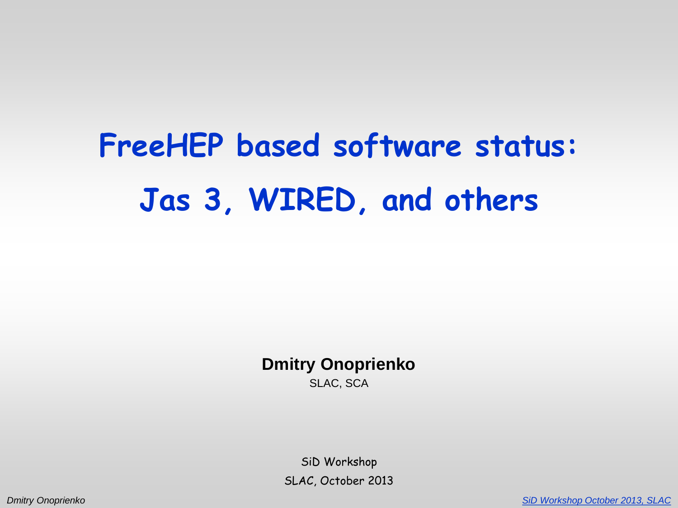# **FreeHEP based software status: Jas 3, WIRED, and others**

**Dmitry Onoprienko** SLAC, SCA

> SiD Workshop SLAC, October 2013

*Dmitry Onoprienko [SiD Workshop October 2013, SLAC](https://ilcagenda.linearcollider.org/conferenceDisplay.py?confId=6161)*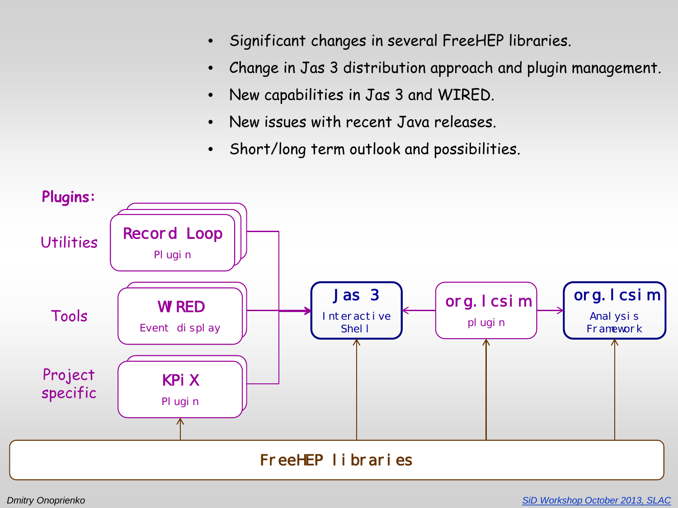- Significant changes in several FreeHEP libraries.
- Change in Jas 3 distribution approach and plugin management.
- New capabilities in Jas 3 and WIRED.
- New issues with recent Java releases.
- Short/long term outlook and possibilities.

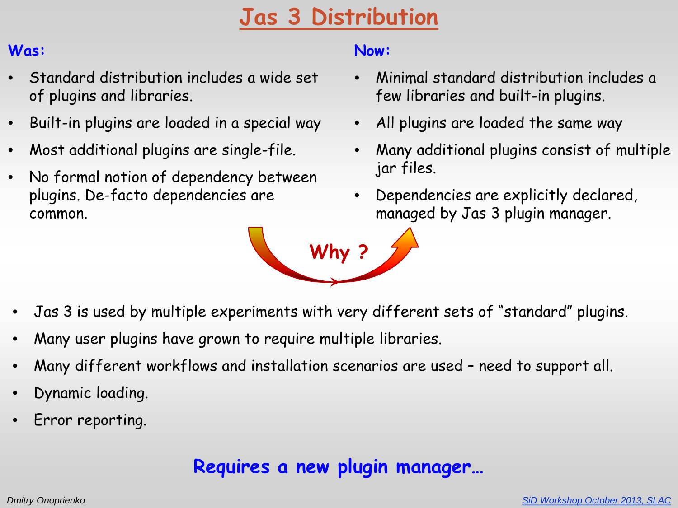# **Jas 3 Distribution**

#### **Was:**

- Standard distribution includes a wide set of plugins and libraries.
- Built-in plugins are loaded in a special way
- Most additional plugins are single-file.
- No formal notion of dependency between plugins. De-facto dependencies are common.

#### **Now:**

- Minimal standard distribution includes a few libraries and built-in plugins.
- All plugins are loaded the same way
- Many additional plugins consist of multiple jar files.
- Dependencies are explicitly declared, managed by Jas 3 plugin manager.



- Jas 3 is used by multiple experiments with very different sets of "standard" plugins.
- Many user plugins have grown to require multiple libraries.
- Many different workflows and installation scenarios are used need to support all.
- Dynamic loading.
- Error reporting.

### **Requires a new plugin manager…**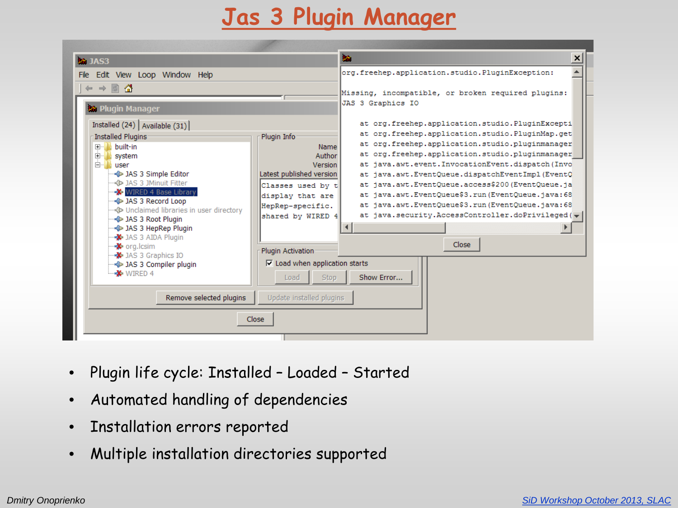# **Jas 3 Plugin Manager**

| <b>2</b> JAS3                                                                                                                                                                                                                                                                                                        |                                                                                                                                                              | 脑                                                                                                                                                                                                                                                                                                                                                                                                                                                         | $\pmb{\times}$ |
|----------------------------------------------------------------------------------------------------------------------------------------------------------------------------------------------------------------------------------------------------------------------------------------------------------------------|--------------------------------------------------------------------------------------------------------------------------------------------------------------|-----------------------------------------------------------------------------------------------------------------------------------------------------------------------------------------------------------------------------------------------------------------------------------------------------------------------------------------------------------------------------------------------------------------------------------------------------------|----------------|
| File Edit View Loop Window Help<br>$\div$ $\div$ 0 $\Omega$<br><b>A</b> Plugin Manager<br>Installed $(24)$ Available $(31)$<br>Installed Plugins-                                                                                                                                                                    | JAS 3 Graphics IO<br>Plugin Info                                                                                                                             | org.freehep.application.studio.PluginException:<br>Missing, incompatible, or broken required plugins:<br>at org.freehep.application.studio.PluginExcepti<br>at org.freehep.application.studio.PluginMap.get                                                                                                                                                                                                                                               |                |
| built-in<br>$\boxed{+}$<br>由 system<br>⊟ <mark>N</mark> user<br>DAS 3 Simple Editor<br>-⊰D> JAS 3 JMinuit Fitter<br>WIRED 4 Base Library<br>DAS 3 Record Loop<br>- < D> Unclaimed libraries in user directory<br>- <a>JAS 3 Root Plugin<br/>- DAS 3 HepRep Plugin<br/><b>X</b> JAS 3 AIDA Plugin<br/>∙ org.lcsim</a> | Name<br>Author<br>Version<br>Latest published version<br>Classes used by t<br>display that are<br>HepRep-specific.<br>shared by WIRED 4<br>Plugin Activation | at org.freehep.application.studio.pluginmanager<br>at org.freehep.application.studio.pluginmanager<br>at java.awt.event.InvocationEvent.dispatch(Invo)<br>at java.awt.EventQueue.dispatchEventImpl(EventQ)<br>at java.awt.EventQueue.access\$200(EventQueue.ja<br>at java.awt.EventQueue\$3.run(EventQueue.java:68)<br>at java.awt.EventQueue\$3.run(EventQueue.java:68)<br>at java.security.AccessController.doPrivileged( $\blacktriangledown$<br>Close |                |
| → JAS 3 Graphics IO<br>-< 1 JAS 3 Compiler plugin<br>$W$ WIRED 4                                                                                                                                                                                                                                                     | $\nabla$ Load when application starts<br><b>Stop</b><br>Load                                                                                                 | Show Error                                                                                                                                                                                                                                                                                                                                                                                                                                                |                |
| Remove selected plugins                                                                                                                                                                                                                                                                                              | Update installed plugins                                                                                                                                     |                                                                                                                                                                                                                                                                                                                                                                                                                                                           |                |
|                                                                                                                                                                                                                                                                                                                      | Close                                                                                                                                                        |                                                                                                                                                                                                                                                                                                                                                                                                                                                           |                |

- Plugin life cycle: Installed Loaded Started
- Automated handling of dependencies
- Installation errors reported
- Multiple installation directories supported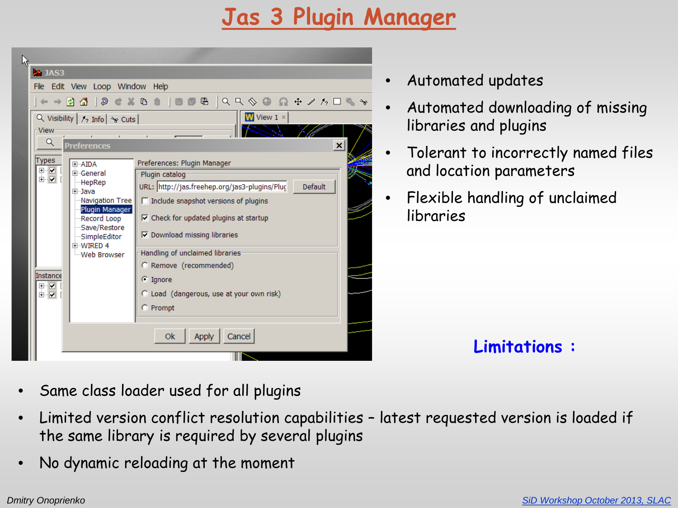## **Jas 3 Plugin Manager**



- Automated updates
- Automated downloading of missing libraries and plugins
- Tolerant to incorrectly named files and location parameters
- Flexible handling of unclaimed libraries

**Limitations :**

- Same class loader used for all plugins
- Limited version conflict resolution capabilities latest requested version is loaded if the same library is required by several plugins
- No dynamic reloading at the moment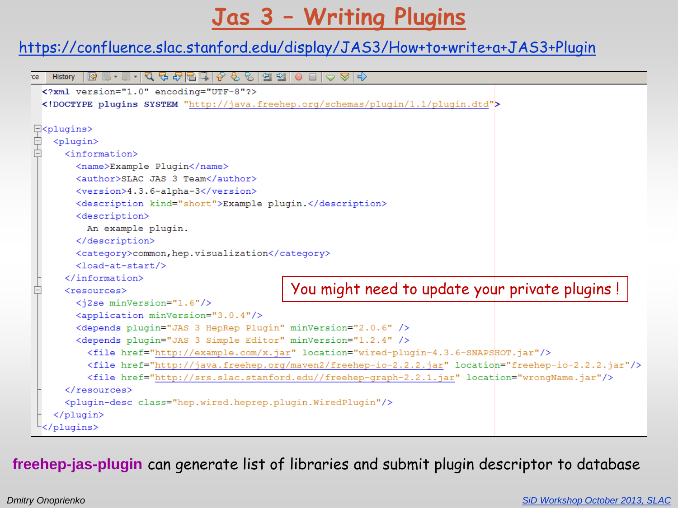# **Jas 3 – Writing Plugins**

#### <https://confluence.slac.stanford.edu/display/JAS3/How+to+write+a+JAS3+Plugin>

```
History
 <?xml version="1.0" encoding="UTF-8"?>
 <! DOCTYPE plugins SYSTEM "http://java.freehep.org/schemas/plugin/1.1/plugin.dtd">
日<plugins>
   <plugin>
     <information>
       <name>Example Plugin</name>
       <author>SLAC JAS 3 Team</author>
       <version>4.3.6-alpha-3</version>
       <description kind="short">Example plugin.</description>
       <description>
         An example plugin.
       </description>
       <category>common, hep.visualization</category>
       \lambdaload-at-start/>\langle/information>
                                            You might need to update your private plugins !<resources>
       <i2se minVersion="1.6"/>
       <application minVersion="3.0.4"/>
       <depends plugin="JAS 3 HepRep Plugin" minVersion="2.0.6" />
       <depends plugin="JAS 3 Simple Editor" minVersion="1.2.4" />
         <file href="http://example.com/x.jar" location="wired-plugin-4.3.6-SNAPSHOT.jar"/>
         <file href="http://java.freehep.org/maven2/freehep-io-2.2.2.jar" location="freehep-io-2.2.2.jar"/>
         <file href="http://srs.slac.stanford.edu//freehep-graph-2.2.1.jar" location="wrongName.jar"/>
     \langle/resources>
     <plugin-desc class="hep.wired.heprep.plugin.WiredPlugin"/>
   \langle/plugin>
 </plugins>
```
**freehep-jas-plugin** can generate list of libraries and submit plugin descriptor to database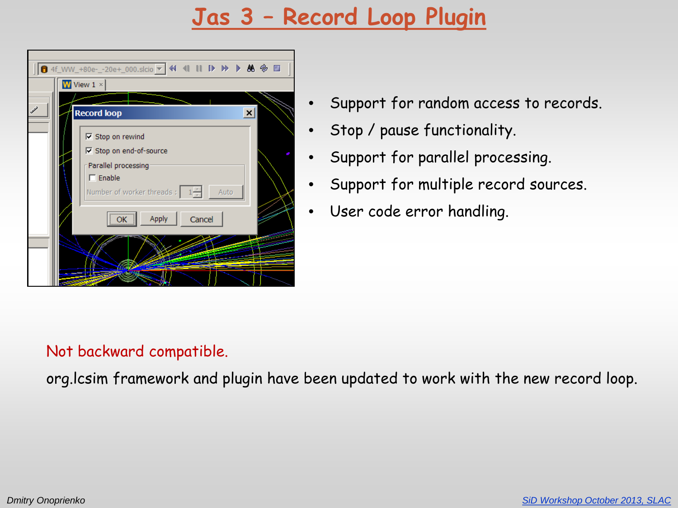# **Jas 3 – Record Loop Plugin**



- Support for random access to records.
- Stop / pause functionality.
- Support for parallel processing.
- Support for multiple record sources.
- User code error handling.

#### Not backward compatible.

org.lcsim framework and plugin have been updated to work with the new record loop.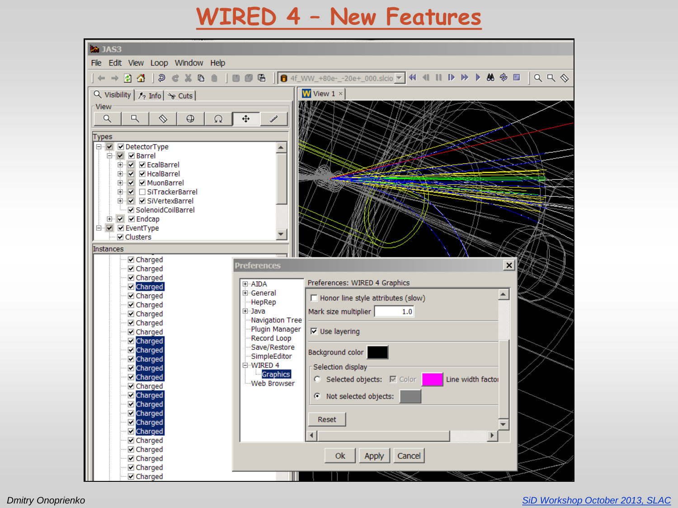### **WIRED 4 – New Features**



*Dmitry Onoprienko [SiD Workshop October 2013, SLAC](https://ilcagenda.linearcollider.org/conferenceDisplay.py?confId=6161)*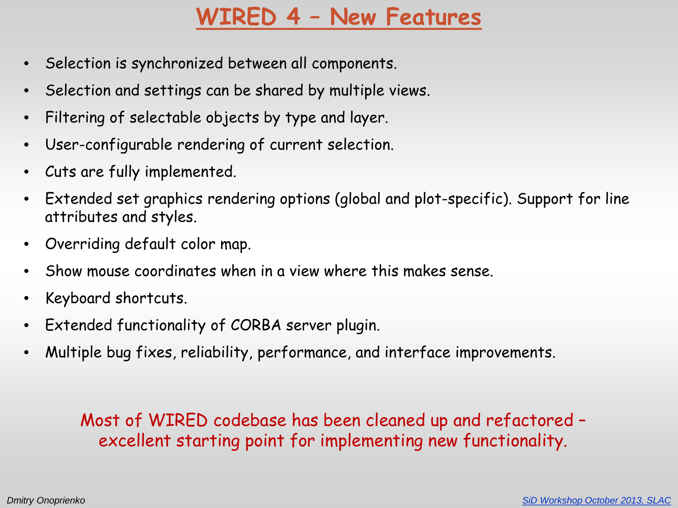# **WIRED 4 – New Features**

- Selection is synchronized between all components.
- Selection and settings can be shared by multiple views.
- Filtering of selectable objects by type and layer.
- User-configurable rendering of current selection.
- Cuts are fully implemented.
- Extended set graphics rendering options (global and plot-specific). Support for line attributes and styles.
- Overriding default color map.
- Show mouse coordinates when in a view where this makes sense.
- Keyboard shortcuts.
- Extended functionality of CORBA server plugin.
- Multiple bug fixes, reliability, performance, and interface improvements.

Most of WIRED codebase has been cleaned up and refactored – excellent starting point for implementing new functionality.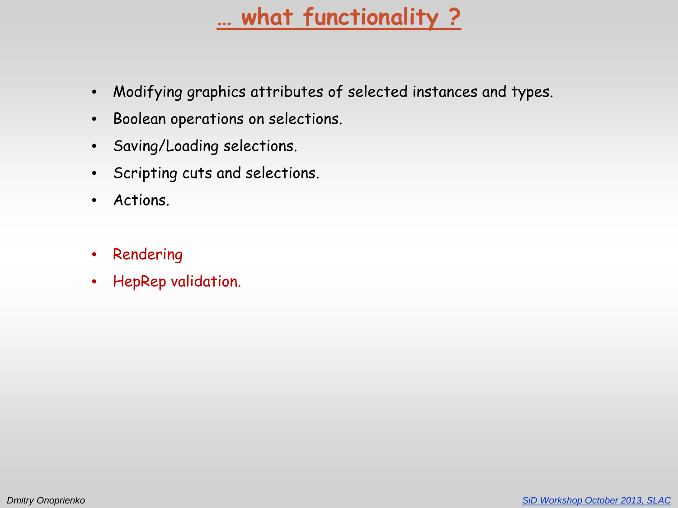# **… what functionality ?**

- Modifying graphics attributes of selected instances and types.
- Boolean operations on selections.
- Saving/Loading selections.
- Scripting cuts and selections.
- Actions.
- Rendering
- HepRep validation.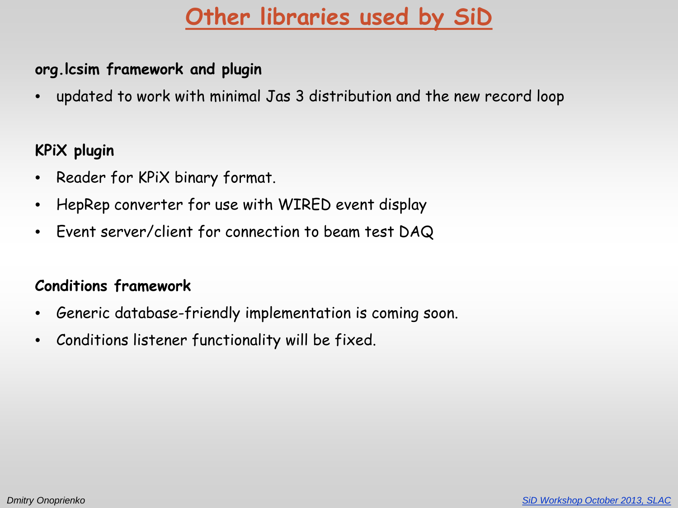# **Other libraries used by SiD**

#### **org.lcsim framework and plugin**

• updated to work with minimal Jas 3 distribution and the new record loop

#### **KPiX plugin**

- Reader for KPiX binary format.
- HepRep converter for use with WIRED event display
- Event server/client for connection to beam test DAQ

#### **Conditions framework**

- Generic database-friendly implementation is coming soon.
- Conditions listener functionality will be fixed.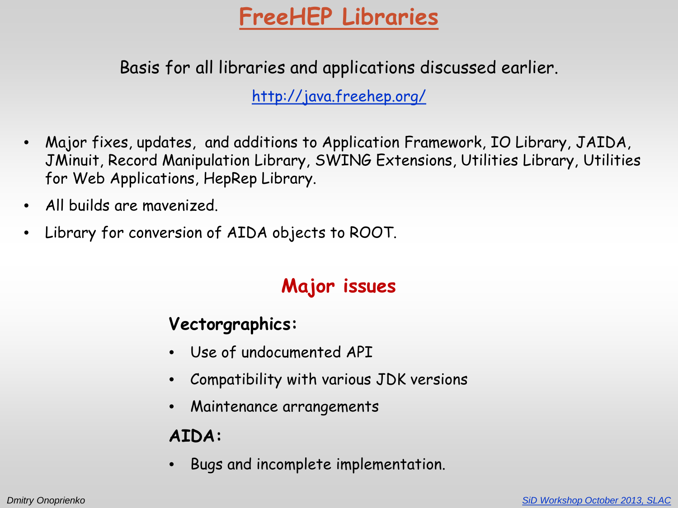# **FreeHEP Libraries**

Basis for all libraries and applications discussed earlier.

<http://java.freehep.org/>

- Major fixes, updates, and additions to Application Framework, IO Library, JAIDA, JMinuit, Record Manipulation Library, SWING Extensions, Utilities Library, Utilities for Web Applications, HepRep Library.
- All builds are mavenized.
- Library for conversion of AIDA objects to ROOT.

### **Major issues**

#### **Vectorgraphics:**

- Use of undocumented API
- Compatibility with various JDK versions
- Maintenance arrangements

### **AIDA:**

• Bugs and incomplete implementation.